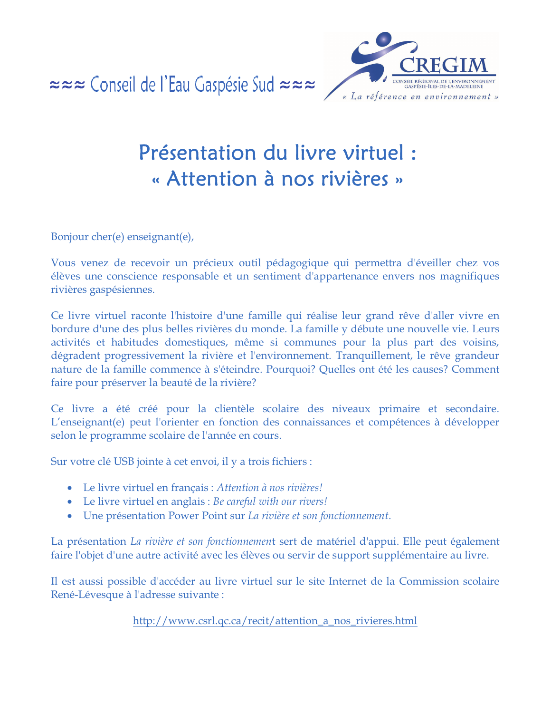≈≈≈ Conseil de l'Eau Gaspésie Sud ≈≈≈



## Présentation du livre virtuel : « Attention à nos rivières »

Bonjour cher(e) enseignant(e),

Vous venez de recevoir un précieux outil pédagogique qui permettra d'éveiller chez vos élèves une conscience responsable et un sentiment d'appartenance envers nos magnifiques rivières gaspésiennes.

Ce livre virtuel raconte l'histoire d'une famille qui réalise leur grand rêve d'aller vivre en bordure d'une des plus belles rivières du monde. La famille y débute une nouvelle vie. Leurs activités et habitudes domestiques, même si communes pour la plus part des voisins, dégradent progressivement la rivière et l'environnement. Tranquillement, le rêve grandeur nature de la famille commence à s'éteindre. Pourquoi? Quelles ont été les causes? Comment faire pour préserver la beauté de la rivière?

Ce livre a été créé pour la clientèle scolaire des niveaux primaire et secondaire. L'enseignant(e) peut l'orienter en fonction des connaissances et compétences à développer selon le programme scolaire de l'année en cours.

Sur votre clé USB jointe à cet envoi, il y a trois fichiers :

- Le livre virtuel en français : Attention à nos rivières!
- Le livre virtuel en anglais : Be careful with our rivers!
- Une présentation Power Point sur La rivière et son fonctionnement.

La présentation La rivière et son fonctionnement sert de matériel d'appui. Elle peut également faire l'objet d'une autre activité avec les élèves ou servir de support supplémentaire au livre.

Il est aussi possible d'accéder au livre virtuel sur le site Internet de la Commission scolaire René-Lévesque à l'adresse suivante :

http://www.csrl.qc.ca/recit/attention\_a\_nos\_rivieres.html